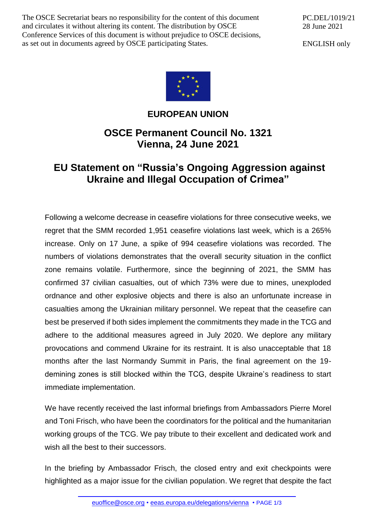The OSCE Secretariat bears no responsibility for the content of this document and circulates it without altering its content. The distribution by OSCE Conference Services of this document is without prejudice to OSCE decisions, as set out in documents agreed by OSCE participating States.

PC.DEL/1019/21 28 June 2021

ENGLISH only



## **EUROPEAN UNION**

## **OSCE Permanent Council No. 1321 Vienna, 24 June 2021**

## **EU Statement on "Russia's Ongoing Aggression against Ukraine and Illegal Occupation of Crimea"**

Following a welcome decrease in ceasefire violations for three consecutive weeks, we regret that the SMM recorded 1,951 ceasefire violations last week, which is a 265% increase. Only on 17 June, a spike of 994 ceasefire violations was recorded. The numbers of violations demonstrates that the overall security situation in the conflict zone remains volatile. Furthermore, since the beginning of 2021, the SMM has confirmed 37 civilian casualties, out of which 73% were due to mines, unexploded ordnance and other explosive objects and there is also an unfortunate increase in casualties among the Ukrainian military personnel. We repeat that the ceasefire can best be preserved if both sides implement the commitments they made in the TCG and adhere to the additional measures agreed in July 2020. We deplore any military provocations and commend Ukraine for its restraint. It is also unacceptable that 18 months after the last Normandy Summit in Paris, the final agreement on the 19 demining zones is still blocked within the TCG, despite Ukraine's readiness to start immediate implementation.

We have recently received the last informal briefings from Ambassadors Pierre Morel and Toni Frisch, who have been the coordinators for the political and the humanitarian working groups of the TCG. We pay tribute to their excellent and dedicated work and wish all the best to their successors.

In the briefing by Ambassador Frisch, the closed entry and exit checkpoints were highlighted as a major issue for the civilian population. We regret that despite the fact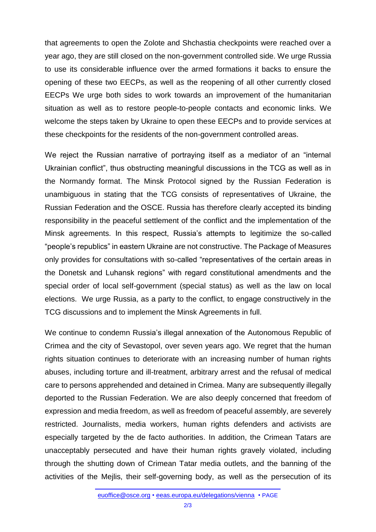that agreements to open the Zolote and Shchastia checkpoints were reached over a year ago, they are still closed on the non-government controlled side. We urge Russia to use its considerable influence over the armed formations it backs to ensure the opening of these two EECPs, as well as the reopening of all other currently closed EECPs We urge both sides to work towards an improvement of the humanitarian situation as well as to restore people-to-people contacts and economic links. We welcome the steps taken by Ukraine to open these EECPs and to provide services at these checkpoints for the residents of the non-government controlled areas.

We reject the Russian narrative of portraying itself as a mediator of an "internal Ukrainian conflict", thus obstructing meaningful discussions in the TCG as well as in the Normandy format. The Minsk Protocol signed by the Russian Federation is unambiguous in stating that the TCG consists of representatives of Ukraine, the Russian Federation and the OSCE. Russia has therefore clearly accepted its binding responsibility in the peaceful settlement of the conflict and the implementation of the Minsk agreements. In this respect, Russia's attempts to legitimize the so-called "people's republics" in eastern Ukraine are not constructive. The Package of Measures only provides for consultations with so-called "representatives of the certain areas in the Donetsk and Luhansk regions" with regard constitutional amendments and the special order of local self-government (special status) as well as the law on local elections. We urge Russia, as a party to the conflict, to engage constructively in the TCG discussions and to implement the Minsk Agreements in full.

We continue to condemn Russia's illegal annexation of the Autonomous Republic of Crimea and the city of Sevastopol, over seven years ago. We regret that the human rights situation continues to deteriorate with an increasing number of human rights abuses, including torture and ill-treatment, arbitrary arrest and the refusal of medical care to persons apprehended and detained in Crimea. Many are subsequently illegally deported to the Russian Federation. We are also deeply concerned that freedom of expression and media freedom, as well as freedom of peaceful assembly, are severely restricted. Journalists, media workers, human rights defenders and activists are especially targeted by the de facto authorities. In addition, the Crimean Tatars are unacceptably persecuted and have their human rights gravely violated, including through the shutting down of Crimean Tatar media outlets, and the banning of the activities of the Mejlis, their self-governing body, as well as the persecution of its